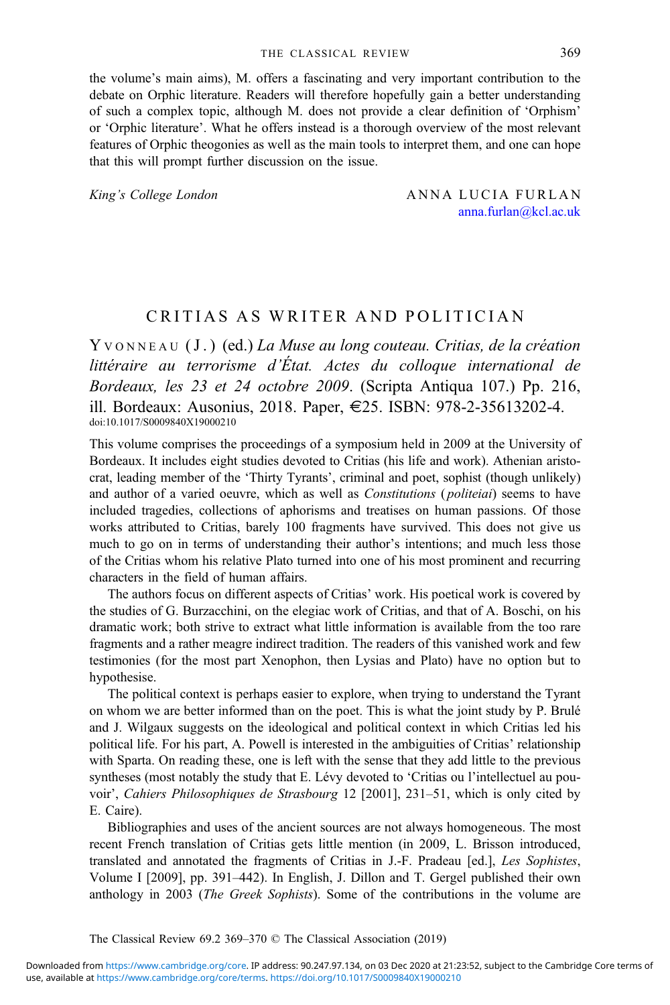the volume's main aims), M. offers a fascinating and very important contribution to the debate on Orphic literature. Readers will therefore hopefully gain a better understanding of such a complex topic, although M. does not provide a clear definition of 'Orphism' or 'Orphic literature'. What he offers instead is a thorough overview of the most relevant features of Orphic theogonies as well as the main tools to interpret them, and one can hope that this will prompt further discussion on the issue.

King's College London ANNA LUCIA FURLAN anna.furlan@kcl.ac.uk

## CRITIAS AS WRITER AND POLITICIAN

Y VONNEAU (J.) (ed.) La Muse au long couteau. Critias, de la création littéraire au terrorisme d'État. Actes du colloque international de Bordeaux, les 23 et 24 octobre 2009. (Scripta Antiqua 107.) Pp. 216, ill. Bordeaux: Ausonius, 2018. Paper, E25. ISBN: 978-2-35613202-4. doi:10.1017/S0009840X19000210

This volume comprises the proceedings of a symposium held in 2009 at the University of Bordeaux. It includes eight studies devoted to Critias (his life and work). Athenian aristocrat, leading member of the 'Thirty Tyrants', criminal and poet, sophist (though unlikely) and author of a varied oeuvre, which as well as Constitutions (politeiai) seems to have included tragedies, collections of aphorisms and treatises on human passions. Of those works attributed to Critias, barely 100 fragments have survived. This does not give us much to go on in terms of understanding their author's intentions; and much less those of the Critias whom his relative Plato turned into one of his most prominent and recurring characters in the field of human affairs.

The authors focus on different aspects of Critias' work. His poetical work is covered by the studies of G. Burzacchini, on the elegiac work of Critias, and that of A. Boschi, on his dramatic work; both strive to extract what little information is available from the too rare fragments and a rather meagre indirect tradition. The readers of this vanished work and few testimonies (for the most part Xenophon, then Lysias and Plato) have no option but to hypothesise.

The political context is perhaps easier to explore, when trying to understand the Tyrant on whom we are better informed than on the poet. This is what the joint study by P. Brulé and J. Wilgaux suggests on the ideological and political context in which Critias led his political life. For his part, A. Powell is interested in the ambiguities of Critias' relationship with Sparta. On reading these, one is left with the sense that they add little to the previous syntheses (most notably the study that E. Lévy devoted to 'Critias ou l'intellectuel au pouvoir', Cahiers Philosophiques de Strasbourg 12 [2001], 231–51, which is only cited by E. Caire).

Bibliographies and uses of the ancient sources are not always homogeneous. The most recent French translation of Critias gets little mention (in 2009, L. Brisson introduced, translated and annotated the fragments of Critias in J.-F. Pradeau [ed.], Les Sophistes, Volume I [2009], pp. 391–442). In English, J. Dillon and T. Gergel published their own anthology in 2003 (The Greek Sophists). Some of the contributions in the volume are

The Classical Review 69.2 369–370 © The Classical Association (2019)